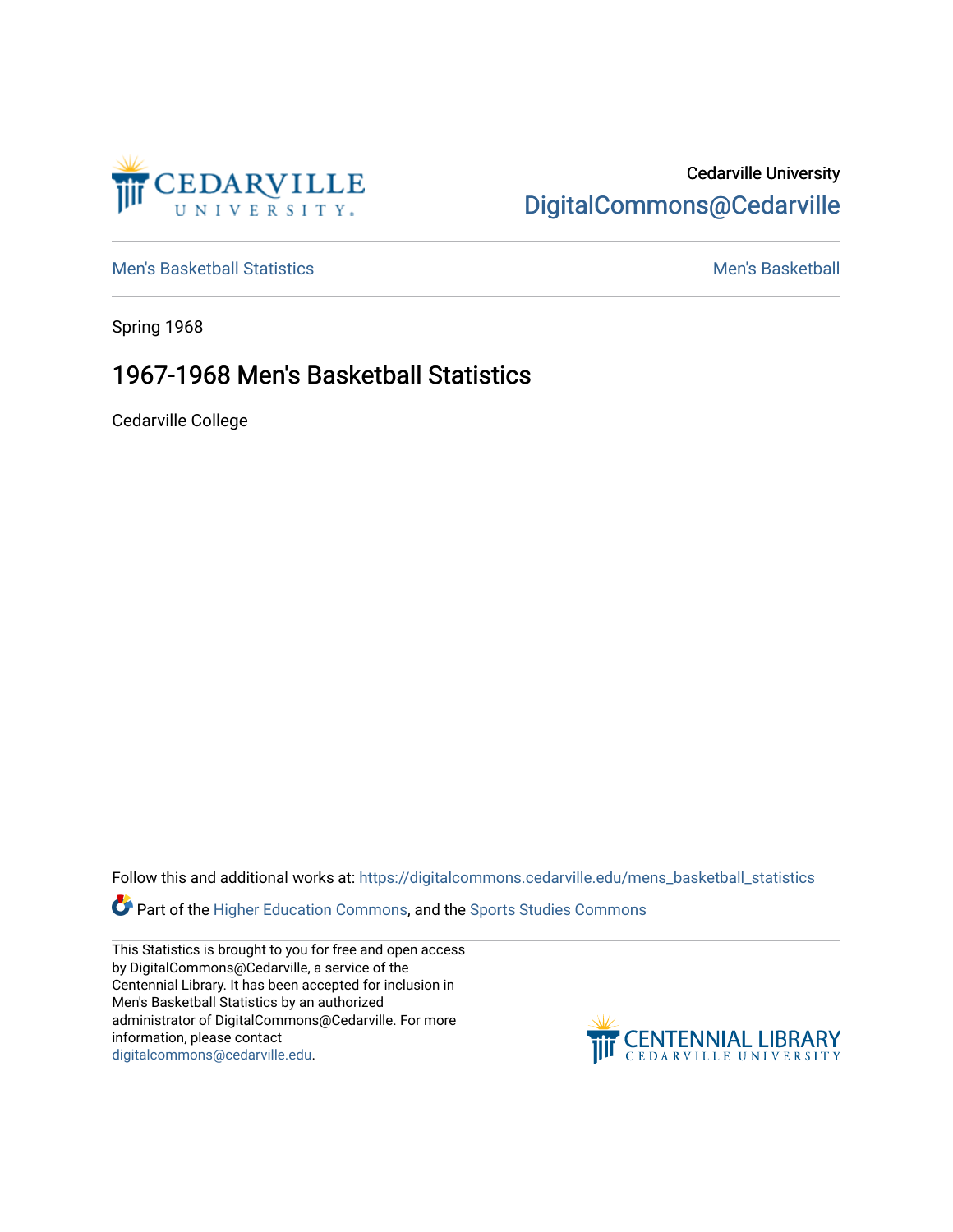

## Cedarville University [DigitalCommons@Cedarville](https://digitalcommons.cedarville.edu/)

[Men's Basketball Statistics](https://digitalcommons.cedarville.edu/mens_basketball_statistics) [Men's Basketball](https://digitalcommons.cedarville.edu/mens_basketball) 

Spring 1968

## 1967-1968 Men's Basketball Statistics

Cedarville College

Follow this and additional works at: [https://digitalcommons.cedarville.edu/mens\\_basketball\\_statistics](https://digitalcommons.cedarville.edu/mens_basketball_statistics?utm_source=digitalcommons.cedarville.edu%2Fmens_basketball_statistics%2F460&utm_medium=PDF&utm_campaign=PDFCoverPages) 

Part of the [Higher Education Commons,](http://network.bepress.com/hgg/discipline/1245?utm_source=digitalcommons.cedarville.edu%2Fmens_basketball_statistics%2F460&utm_medium=PDF&utm_campaign=PDFCoverPages) and the [Sports Studies Commons](http://network.bepress.com/hgg/discipline/1198?utm_source=digitalcommons.cedarville.edu%2Fmens_basketball_statistics%2F460&utm_medium=PDF&utm_campaign=PDFCoverPages) 

This Statistics is brought to you for free and open access by DigitalCommons@Cedarville, a service of the Centennial Library. It has been accepted for inclusion in Men's Basketball Statistics by an authorized administrator of DigitalCommons@Cedarville. For more information, please contact [digitalcommons@cedarville.edu](mailto:digitalcommons@cedarville.edu).